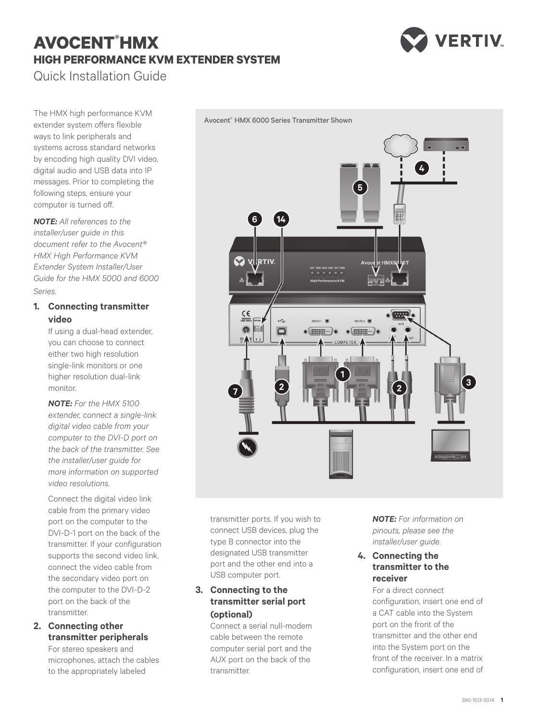# **AVOCENT® HMX HIGH PERFORMANCE KVM EXTENDER SYSTEM** Quick Installation Guide



The HMX high performance KVM extender system offers flexible ways to link peripherals and systems across standard networks by encoding high quality DVI video, digital audio and USB data into IP messages. Prior to completing the following steps, ensure your computer is turned off.

*NOTE: All references to the installer/user guide in this document refer to the Avocent® HMX High Performance KVM Extender System Installer/User Guide for the HMX 5000 and 6000 Series.*

## **1. Connecting transmitter video**

If using a dual-head extender, you can choose to connect either two high resolution single-link monitors or one higher resolution dual-link monitor.

*NOTE: For the HMX 5100 extender, connect a single-link digital video cable from your computer to the DVI-D port on the back of the transmitter. See the installer/user guide for more information on supported video resolutions.*

Connect the digital video link cable from the primary video port on the computer to the DVI-D-1 port on the back of the transmitter. If your configuration supports the second video link, connect the video cable from the secondary video port on the computer to the DVI-D-2 port on the back of the transmitter.

## **2. Connecting other transmitter peripherals**

For stereo speakers and microphones, attach the cables to the appropriately labeled



transmitter ports. If you wish to connect USB devices, plug the type B connector into the designated USB transmitter port and the other end into a USB computer port.

## **3. Connecting to the transmitter serial port (optional)**

Connect a serial null-modem cable between the remote computer serial port and the AUX port on the back of the transmitter.

*NOTE: For information on pinouts, please see the installer/user guide.*

#### **4. Connecting the transmitter to the receiver**

For a direct connect configuration, insert one end of a CAT cable into the System port on the front of the transmitter and the other end into the System port on the front of the receiver. In a matrix configuration, insert one end of

Avocent® HMX 6000 Series Transmitter Shown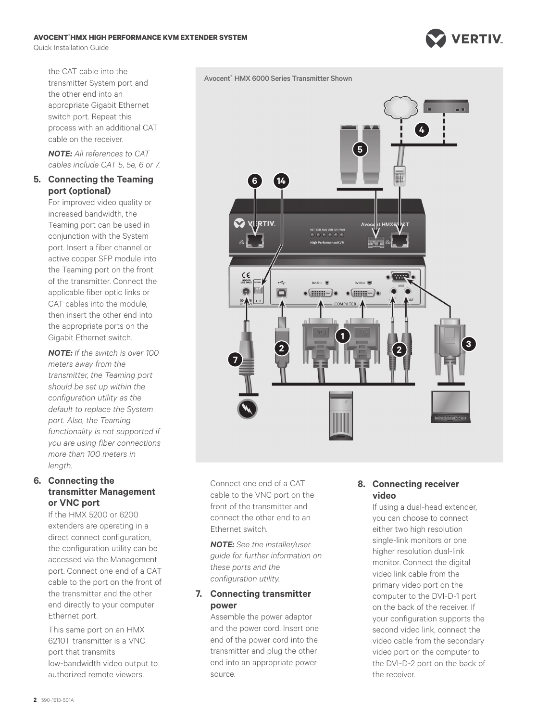#### **AVOCENT® HMX HIGH PERFORMANCE KVM EXTENDER SYSTEM**

Quick Installation Guide

**VERTIV** 



the CAT cable into the transmitter System port and the other end into an appropriate Gigabit Ethernet switch port. Repeat this process with an additional CAT cable on the receiver.

*NOTE: All references to CAT cables include CAT 5, 5e, 6 or 7.*

#### **5. Connecting the Teaming port (optional)**

For improved video quality or increased bandwidth, the Teaming port can be used in conjunction with the System port. Insert a fiber channel or active copper SFP module into the Teaming port on the front of the transmitter. Connect the applicable fiber optic links or CAT cables into the module, then insert the other end into the appropriate ports on the Gigabit Ethernet switch.

*NOTE: If the switch is over 100 meters away from the transmitter, the Teaming port should be set up within the configuration utility as the default to replace the System port. Also, the Teaming functionality is not supported if you are using fiber connections more than 100 meters in length.*

## **6. Connecting the transmitter Management or VNC port**

If the HMX 5200 or 6200 extenders are operating in a direct connect configuration, the configuration utility can be accessed via the Management port. Connect one end of a CAT cable to the port on the front of the transmitter and the other end directly to your computer Ethernet port.

This same port on an HMX 6210T transmitter is a VNC port that transmits low-bandwidth video output to authorized remote viewers.



Connect one end of a CAT cable to the VNC port on the front of the transmitter and connect the other end to an Ethernet switch.

*NOTE: See the installer/user guide for further information on these ports and the configuration utility.*

#### **7. Connecting transmitter power**

Assemble the power adaptor and the power cord. Insert one end of the power cord into the transmitter and plug the other end into an appropriate power source.

## **8. Connecting receiver video**

If using a dual-head extender, you can choose to connect either two high resolution single-link monitors or one higher resolution dual-link monitor. Connect the digital video link cable from the primary video port on the computer to the DVI-D-1 port on the back of the receiver. If your configuration supports the second video link, connect the video cable from the secondary video port on the computer to the DVI-D-2 port on the back of the receiver.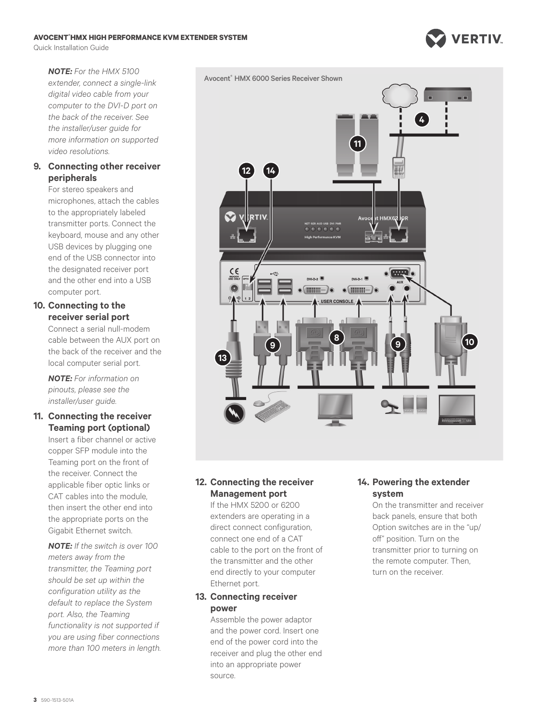#### **AVOCENT® HMX HIGH PERFORMANCE KVM EXTENDER SYSTEM**

Quick Installation Guide



#### **9. Connecting other receiver peripherals**

For stereo speakers and microphones, attach the cables to the appropriately labeled transmitter ports. Connect the keyboard, mouse and any other USB devices by plugging one end of the USB connector into the designated receiver port and the other end into a USB computer port.

## **10. Connecting to the receiver serial port**

Connect a serial null-modem cable between the AUX port on the back of the receiver and the local computer serial port.

*NOTE: For information on pinouts, please see the installer/user guide.*

#### **11. Connecting the receiver Teaming port (optional)**

Insert a fiber channel or active copper SFP module into the Teaming port on the front of the receiver. Connect the applicable fiber optic links or CAT cables into the module, then insert the other end into the appropriate ports on the Gigabit Ethernet switch.

*NOTE: If the switch is over 100 meters away from the transmitter, the Teaming port should be set up within the configuration utility as the default to replace the System port. Also, the Teaming functionality is not supported if you are using fiber connections more than 100 meters in length.*



# **12. Connecting the receiver Management port**

If the HMX 5200 or 6200 extenders are operating in a direct connect configuration, connect one end of a CAT cable to the port on the front of the transmitter and the other end directly to your computer Ethernet port.

## **13. Connecting receiver power**

Assemble the power adaptor and the power cord. Insert one end of the power cord into the receiver and plug the other end into an appropriate power source.

#### **14. Powering the extender system**

On the transmitter and receiver back panels, ensure that both Option switches are in the "up/ off" position. Turn on the transmitter prior to turning on the remote computer. Then, turn on the receiver.